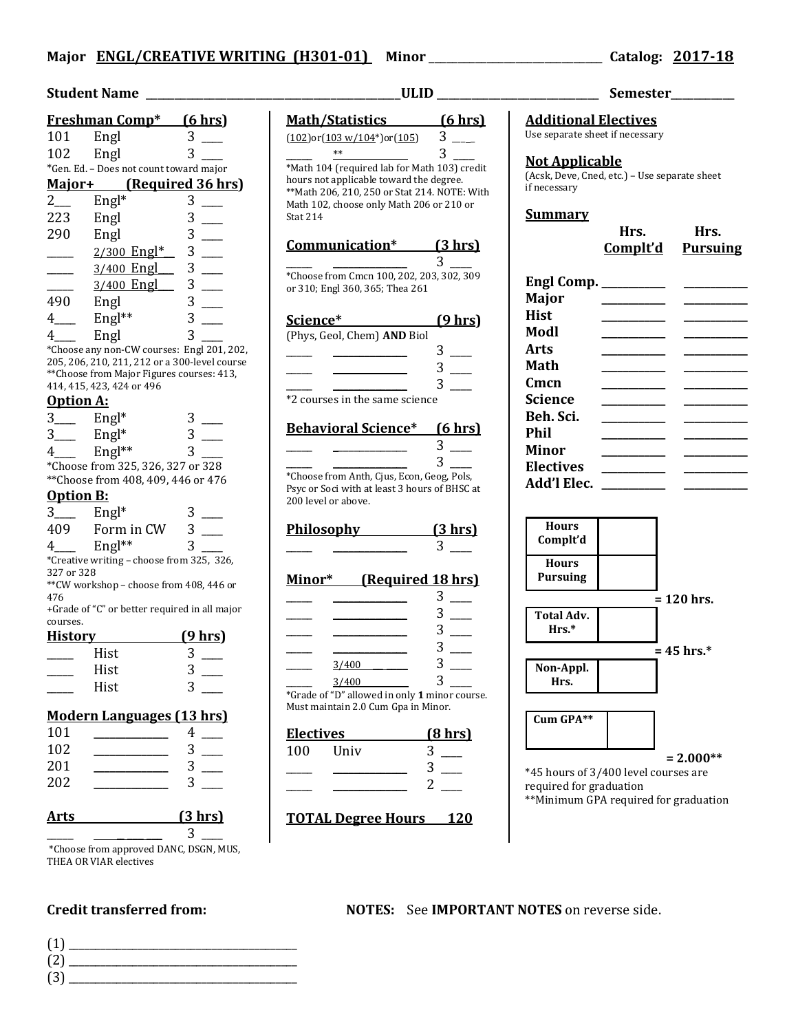## **Student Name** \_\_\_\_\_\_\_\_\_\_\_\_\_\_\_\_\_\_\_\_\_\_\_\_\_\_\_\_\_\_\_\_\_\_\_\_\_\_\_\_\_\_\_\_**ULID** \_\_\_\_\_\_\_\_\_\_\_\_\_\_\_\_\_\_\_\_\_\_\_\_\_\_\_\_ **Semester**\_\_\_\_\_\_\_\_\_\_\_

|                                                                                        | <b>Freshman Comp*</b>                   | <u>(6 hrs)</u> |
|----------------------------------------------------------------------------------------|-----------------------------------------|----------------|
| 101                                                                                    | Engl                                    | 3              |
| 102                                                                                    | Engl                                    | 3              |
|                                                                                        | *Gen. Ed. - Does not count toward major |                |
|                                                                                        | Major+ (Required 36 hrs)                |                |
| $2\overline{ }$                                                                        | $Engl*$                                 | 3              |
| 223                                                                                    | Engl                                    | 3              |
| 290                                                                                    | Engl                                    | 3              |
|                                                                                        | $2/300$ Engl*                           | 3              |
|                                                                                        | 3/400 Engl                              | 3              |
|                                                                                        | 3/400 Engl                              | 3              |
| 490                                                                                    | Engl                                    | 3              |
| 4                                                                                      | $Engl**$                                | 3              |
|                                                                                        | Engl                                    | 3              |
| *Choose any non-CW courses: Engl 201, 202,<br>205 206 210 211 212 and 200 lovel course |                                         |                |

205, 206, 210, 211, 212 or a 300-level course \*\*Choose from Major Figures courses: 413, 414, 415, 423, 424 or 496

### **Option A:**

|   | $Engl*$  |                                   |
|---|----------|-----------------------------------|
| 3 | $Engl*$  |                                   |
|   | $Engl**$ |                                   |
|   |          | *Choose from 325, 326, 327 or 328 |

\*\*Choose from 408, 409, 446 or 476

### **Option B:**

|     | $Engl*$    |  |
|-----|------------|--|
| 409 | Form in CW |  |
|     | $Engl**$   |  |

\*Creative writing – choose from 325, 326, 327 or 328

\*\*CW workshop – choose from 408, 446 or 476

+Grade of "C" or better required in all major courses.

| <b>History</b> |      | $(9$ hrs) |
|----------------|------|-----------|
|                | Hist |           |
|                | Hist |           |
|                | Hist |           |

### **Modern Languages (13 hrs)**

| 201<br>202 | 3<br>3 |
|------------|--------|
| Arts       | (3 hr) |

 $\frac{1}{\sqrt{2\pi}}$   $\frac{1}{\sqrt{2\pi}}$   $\frac{3}{\sqrt{2\pi}}$ \*Choose from approved DANC, DSGN, MUS, THEA OR VIAR electives

(1) \_\_\_\_\_\_\_\_\_\_\_\_\_\_\_\_\_\_\_\_\_\_\_\_\_\_\_\_\_\_\_\_\_\_\_\_\_\_\_\_\_\_\_ (2) \_\_\_\_\_\_\_\_\_\_\_\_\_\_\_\_\_\_\_\_\_\_\_\_\_\_\_\_\_\_\_\_\_\_\_\_\_\_\_\_\_\_\_

 $(3)$ 

**Math/Statistics (6 hrs)**  $(102)$ or $(103 \text{ w}/104^{\ast})$ or $(105)$  3  $**$  3 \*Math 104 (required lab for Math 103) credit hours not applicable toward the degree. \*\*Math 206, 210, 250 or Stat 214. NOTE: With Math 102, choose only Math 206 or 210 or Stat 214 **Communication\* (3 hrs)** \_\_\_\_\_ \_\_\_\_\_\_\_\_\_\_\_\_\_\_ 3 \_\_\_\_ \*Choose from Cmcn 100, 202, 203, 302, 309 or 310; Engl 360, 365; Thea 261 **Science\* (9 hrs)** (Phys, Geol, Chem) **AND** Biol  $3 \_$  $3 \Box$ \_\_\_\_\_ \_\_\_\_\_\_\_\_\_\_\_\_\_\_ 3 \_\_\_\_ \*2 courses in the same science **Behavioral Science\* (6 hrs)**  $\frac{3}{2}$  $\frac{1}{\sqrt{2\pi}}$  ,  $\frac{1}{\sqrt{2\pi}}$  ,  $\frac{3}{\sqrt{2\pi}}$ \*Choose from Anth, Cjus, Econ, Geog, Pols, Psyc or Soci with at least 3 hours of BHSC at 200 level or above. **Philosophy (3 hrs)**  $3$ **Minor\* (Required 18 hrs)**  $_3$ \_\_\_\_\_ \_\_\_\_\_\_\_\_\_\_\_\_\_\_ 3 \_\_\_\_  $\frac{3}{2}$  3  $\frac{1}{2}$ \_\_\_\_\_ \_\_\_\_\_\_\_\_\_\_\_\_\_\_ 3 \_\_\_\_  $\frac{3/400}{\sim}$  3 \_\_\_  $3/400$  3 \*Grade of "D" allowed in only **1** minor course. **Electives (8 hrs)**

| 100 | Univ |  |
|-----|------|--|
|     |      |  |
|     |      |  |

**TOTAL Degree Hours 120**

**Additional Electives** Use separate sheet if necessary

### **Not Applicable**

(Acsk, Deve, Cned, etc.) – Use separate sheet if necessary

### **Summary**

|                      | Hrs.<br><u>Complt'd</u>                 | Hrs.<br><b>Pursuing</b> |
|----------------------|-----------------------------------------|-------------------------|
| Engl Comp. _________ |                                         |                         |
| Major                | <u> 1990 - Johann Barbara, martin a</u> |                         |
| Hist                 |                                         |                         |
| Modl                 |                                         |                         |
| Arts                 |                                         |                         |
| Math                 |                                         |                         |
| Cmcn                 |                                         |                         |
| Science              | <u> 1999 - Johann Barnett, f</u>        |                         |
| Beh. Sci.            |                                         |                         |
| Phil                 |                                         |                         |
| Minor                | <u> Liberatura de la c</u>              |                         |
| <b>Electives</b>     |                                         |                         |
| Add'l Elec.          |                                         |                         |



\*45 hours of 3/400 level courses are required for graduation \*\*Minimum GPA required for graduation

**Credit transferred from: NOTES:** See **IMPORTANT NOTES** on reverse side.

Must maintain 2.0 Cum Gpa in Minor.